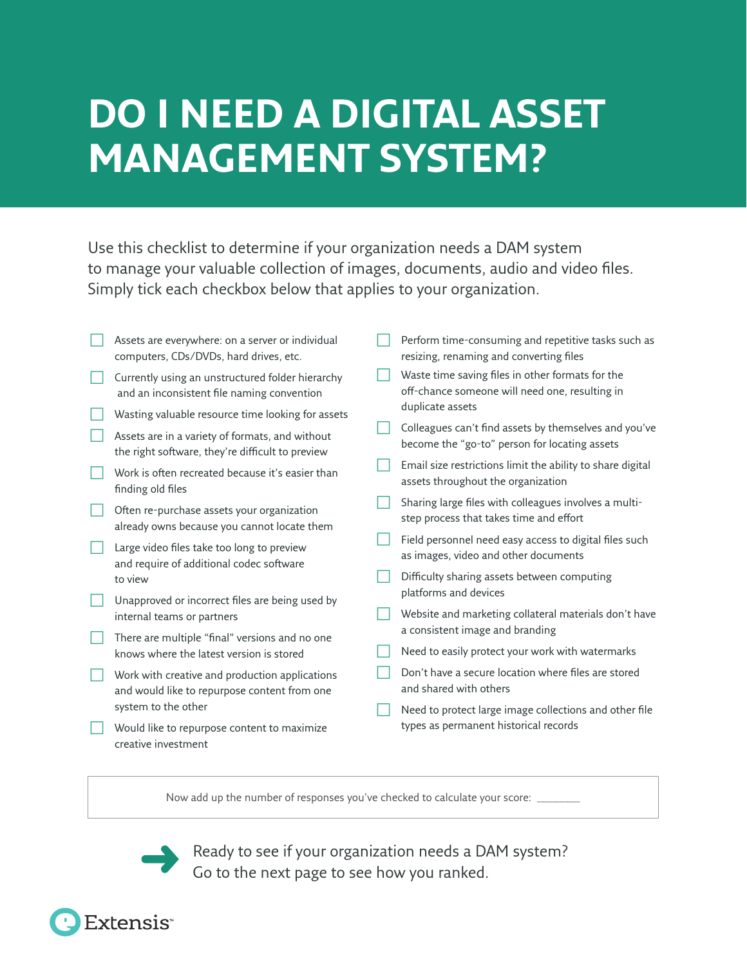# **DO I NEED A DIGITAL ASSET MANAGEMENT SYSTEM?**

Use this checklist to determine if your organization needs a DAM system to manage your valuable collection of images, documents, audio and video files. Simply tick each checkbox below that applies to your organization.

| Assets are everywhere: on a server or individual<br>computers, CDs/DVDs, hard drives, etc.          | Perform time-consuming and repetitive tasks such as<br>resizing, renaming and converting files         |
|-----------------------------------------------------------------------------------------------------|--------------------------------------------------------------------------------------------------------|
| Currently using an unstructured folder hierarchy<br>and an inconsistent file naming convention      | Waste time saving files in other formats for the<br>off-chance someone will need one, resulting in     |
| Wasting valuable resource time looking for assets                                                   | duplicate assets                                                                                       |
| Assets are in a variety of formats, and without<br>the right software, they're difficult to preview | Colleagues can't find assets by themselves and you've<br>become the "go-to" person for locating assets |
| Work is often recreated because it's easier than<br>finding old files                               | Email size restrictions limit the ability to share digital<br>assets throughout the organization       |
| Often re-purchase assets your organization<br>already owns because you cannot locate them           | Sharing large files with colleagues involves a multi-<br>step process that takes time and effort       |
| Large video files take too long to preview<br>and require of additional codec software              | Field personnel need easy access to digital files such<br>as images, video and other documents         |
| to view                                                                                             | Difficulty sharing assets between computing                                                            |
| Unapproved or incorrect files are being used by                                                     | platforms and devices                                                                                  |
| internal teams or partners                                                                          | Website and marketing collateral materials don't have                                                  |
| There are multiple "final" versions and no one                                                      | a consistent image and branding                                                                        |
| knows where the latest version is stored                                                            | Need to easily protect your work with watermarks                                                       |
| Work with creative and production applications<br>and would like to repurpose content from one      | Don't have a secure location where files are stored<br>and shared with others                          |
| system to the other                                                                                 | Need to protect large image collections and other file                                                 |
| Would like to repurpose content to maximize<br>creative investment                                  | types as permanent historical records                                                                  |

Now add up the number of responses you've checked to calculate your score:

Ready to see if your organization needs a DAM system? Go to the next page to see how you ranked.